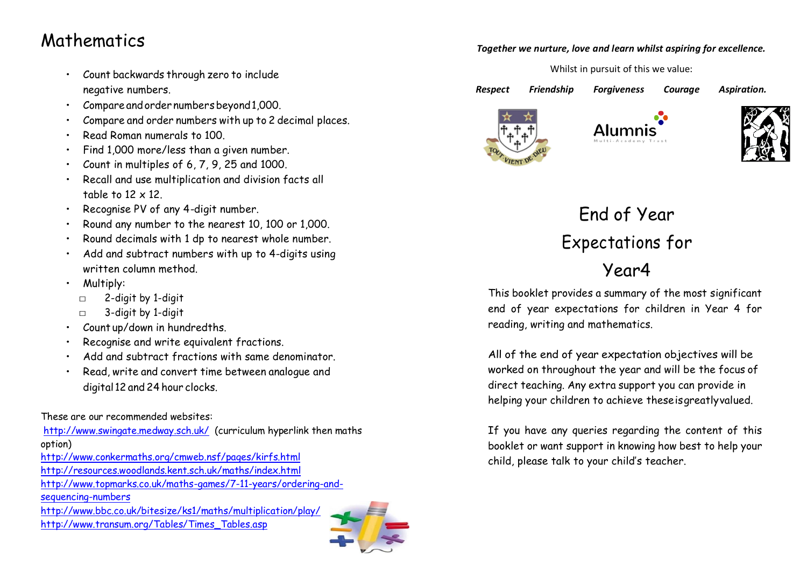### Mathematics

- Count backwards through zero to include negative numbers.
- Compare and order numbers beyond 1,000.
- Compare and order numbers with up to 2 decimal places.
- Read Roman numerals to 100.
- Find 1,000 more/less than a given number.
- Count in multiples of 6, 7, 9, 25 and 1000.
- Recall and use multiplication and division facts all table to 12 x 12.
- Recognise PV of any 4-digit number.
- Round any number to the nearest 10, 100 or 1,000.
- Round decimals with 1 dp to nearest whole number.
- Add and subtract numbers with up to 4-digits using written column method.
- Multiply:
	- □ 2-digit by 1-digit
	- □ 3-digit by 1-digit
- Count up/down in hundredths.
- Recognise and write equivalent fractions.
- Add and subtract fractions with same denominator.
- Read, write and convert time between analogue and digital 12 and 24 hour clocks.

These are our recommended websites:

<http://www.swingate.medway.sch.uk/>(curriculum hyperlink then maths option)

<http://www.conkermaths.org/cmweb.nsf/pages/kirfs.html> <http://resources.woodlands.kent.sch.uk/maths/index.html> [http://www.topmarks.co.uk/maths-games/7-11-years/ordering-and](http://www.topmarks.co.uk/maths-games/7-11-years/ordering-and-sequencing-numbers)[sequencing-numbers](http://www.topmarks.co.uk/maths-games/7-11-years/ordering-and-sequencing-numbers) <http://www.bbc.co.uk/bitesize/ks1/maths/multiplication/play/>

[http://www.transum.org/Tables/Times\\_Tables.asp](http://www.transum.org/Tables/Times_Tables.asp)



#### *Together we nurture, love and learn whilst aspiring for excellence.*

Whilst in pursuit of this we value:

*Respect Friendship Forgiveness Courage Aspiration.* 







# End of Year Expectations for Year4

This booklet provides a summary of the most significant end of year expectations for children in Year 4 for reading, writing and mathematics.

All of the end of year expectation objectives will be worked on throughout the year and will be the focus of direct teaching. Any extra support you can provide in helping your children to achieve theseisgreatlyvalued.

If you have any queries regarding the content of this booklet or want support in knowing how best to help your child, please talk to your child's teacher.